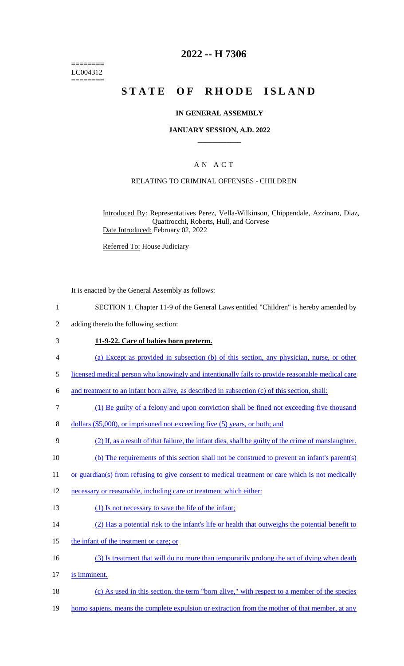======== LC004312 ========

# **2022 -- H 7306**

# **STATE OF RHODE ISLAND**

### **IN GENERAL ASSEMBLY**

### **JANUARY SESSION, A.D. 2022 \_\_\_\_\_\_\_\_\_\_\_\_**

# A N A C T

### RELATING TO CRIMINAL OFFENSES - CHILDREN

Introduced By: Representatives Perez, Vella-Wilkinson, Chippendale, Azzinaro, Diaz, Quattrocchi, Roberts, Hull, and Corvese Date Introduced: February 02, 2022

Referred To: House Judiciary

It is enacted by the General Assembly as follows:

- 1 SECTION 1. Chapter 11-9 of the General Laws entitled "Children" is hereby amended by
- 2 adding thereto the following section:

#### 3 **11-9-22. Care of babies born preterm.**

- 4 (a) Except as provided in subsection (b) of this section, any physician, nurse, or other
- 5 licensed medical person who knowingly and intentionally fails to provide reasonable medical care

6 and treatment to an infant born alive, as described in subsection (c) of this section, shall:

- 7 (1) Be guilty of a felony and upon conviction shall be fined not exceeding five thousand
- 8 dollars (\$5,000), or imprisoned not exceeding five (5) years, or both; and
- 9 (2) If, as a result of that failure, the infant dies, shall be guilty of the crime of manslaughter.
- 10 (b) The requirements of this section shall not be construed to prevent an infant's parent(s)
- 11 or guardian(s) from refusing to give consent to medical treatment or care which is not medically
- 12 necessary or reasonable, including care or treatment which either:
- 13 (1) Is not necessary to save the life of the infant;
- 14 (2) Has a potential risk to the infant's life or health that outweighs the potential benefit to
- 15 the infant of the treatment or care; or
- 16 (3) Is treatment that will do no more than temporarily prolong the act of dying when death
- 17 is imminent.
- 18 (c) As used in this section, the term "born alive," with respect to a member of the species
- 19 homo sapiens, means the complete expulsion or extraction from the mother of that member, at any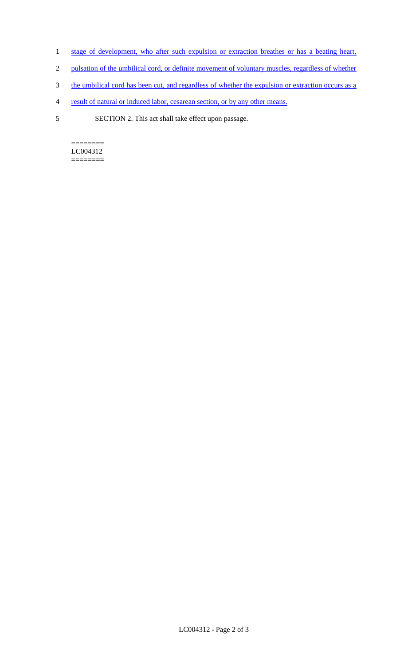- 1 stage of development, who after such expulsion or extraction breathes or has a beating heart,
- 2 pulsation of the umbilical cord, or definite movement of voluntary muscles, regardless of whether
- 3 the umbilical cord has been cut, and regardless of whether the expulsion or extraction occurs as a
- 4 result of natural or induced labor, cesarean section, or by any other means.
- 5 SECTION 2. This act shall take effect upon passage.

 $=$ LC004312 ========